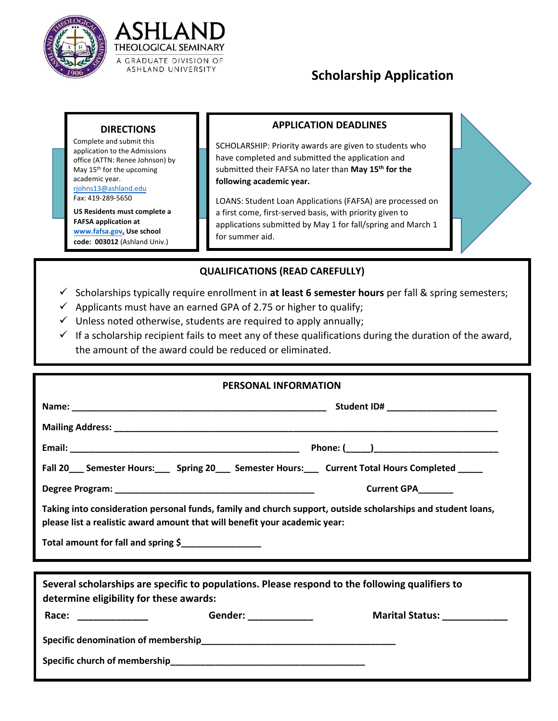



## **Scholarship Application**

## **DIRECTIONS**

Complete and submit this application to the Admissions office (ATTN: Renee Johnson) by May 15<sup>th</sup> for the upcoming [academic year.](mailto:ATS-Enrollment@ashland.edu)  rjohns13@ashland.edu Fax: 419-289-5650

**US Residents must complete a FAFSA application at [www.fafsa.gov.](http://www.fafsa.gov/) Use school code: 003012** (Ashland Univ.)

## **APPLICATION DEADLINES**

SCHOLARSHIP: Priority awards are given to students who have completed and submitted the application and submitted their FAFSA no later than **May 15th for the following academic year.**

LOANS: Student Loan Applications (FAFSA) are processed on a first come, first-served basis, with priority given to applications submitted by May 1 for fall/spring and March 1 for summer aid.

## **QUALIFICATIONS (READ CAREFULLY)**

- Scholarships typically require enrollment in **at least 6 semester hours** per fall & spring semesters;
- $\checkmark$  Applicants must have an earned GPA of 2.75 or higher to qualify;
- $\checkmark$  Unless noted otherwise, students are required to apply annually;
- $\checkmark$  If a scholarship recipient fails to meet any of these qualifications during the duration of the award, the amount of the award could be reduced or eliminated.

| <b>PERSONAL INFORMATION</b>                                                                                                                                                                |                                |  |  |  |  |
|--------------------------------------------------------------------------------------------------------------------------------------------------------------------------------------------|--------------------------------|--|--|--|--|
|                                                                                                                                                                                            |                                |  |  |  |  |
|                                                                                                                                                                                            |                                |  |  |  |  |
|                                                                                                                                                                                            |                                |  |  |  |  |
| Fall 20____ Semester Hours:_____ Spring 20____ Semester Hours:____ Current Total Hours Completed ______                                                                                    |                                |  |  |  |  |
|                                                                                                                                                                                            | Current GPA_______             |  |  |  |  |
| Taking into consideration personal funds, family and church support, outside scholarships and student loans,<br>please list a realistic award amount that will benefit your academic year: |                                |  |  |  |  |
| Total amount for fall and spring \$                                                                                                                                                        |                                |  |  |  |  |
| Several scholarships are specific to populations. Please respond to the following qualifiers to                                                                                            |                                |  |  |  |  |
| determine eligibility for these awards:                                                                                                                                                    |                                |  |  |  |  |
|                                                                                                                                                                                            | Marital Status: ______________ |  |  |  |  |
|                                                                                                                                                                                            |                                |  |  |  |  |
|                                                                                                                                                                                            |                                |  |  |  |  |